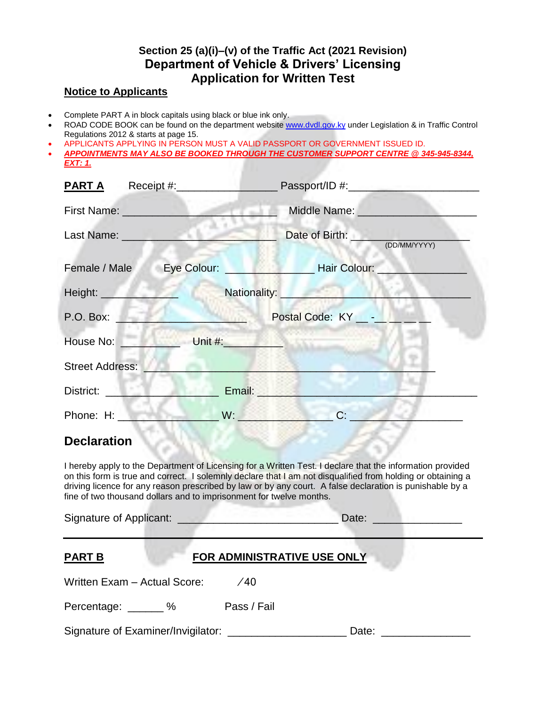## **Section 25 (a)(i)–(v) of the Traffic Act (2021 Revision) Department of Vehicle & Drivers' Licensing Application for Written Test**

## **Notice to Applicants**

- Complete PART A in block capitals using black or blue ink only.
- ROAD CODE BOOK can be found on the department websit[e www.dvdl.gov.ky](http://www.dvdl.gov.ky/) under Legislation & in Traffic Control Regulations 2012 & starts at page 15.
- APPLICANTS APPLYING IN PERSON MUST A VALID PASSPORT OR GOVERNMENT ISSUED ID.
- *APPOINTMENTS MAY ALSO BE BOOKED THROUGH THE CUSTOMER SUPPORT CENTRE @ 345-945-8344, EXT: 1.*

| Receipt #:____________________<br><b>PART A</b>                                                                                                                                                                                                                                                                                                                                                             |                                                                                                                                                                                                                                                                                  |
|-------------------------------------------------------------------------------------------------------------------------------------------------------------------------------------------------------------------------------------------------------------------------------------------------------------------------------------------------------------------------------------------------------------|----------------------------------------------------------------------------------------------------------------------------------------------------------------------------------------------------------------------------------------------------------------------------------|
| First Name: <u>Communication</u>                                                                                                                                                                                                                                                                                                                                                                            |                                                                                                                                                                                                                                                                                  |
| Last Name: <u>__________________________</u>                                                                                                                                                                                                                                                                                                                                                                | Date of Birth: (DD/MM/YYYY)                                                                                                                                                                                                                                                      |
|                                                                                                                                                                                                                                                                                                                                                                                                             |                                                                                                                                                                                                                                                                                  |
|                                                                                                                                                                                                                                                                                                                                                                                                             | Height: Nationality: Nationality:                                                                                                                                                                                                                                                |
|                                                                                                                                                                                                                                                                                                                                                                                                             | P.O. Box: <u>New York Books Postal Code: KY New York Books &amp; Little Books &amp; Little Books &amp; Little Books &amp; Little Books &amp; Little Books &amp; Little Books &amp; Little Books &amp; Little Books &amp; Little Books &amp; Little Books &amp; Little Books </u> |
| House No: Note that the Unit #: Note that the Contract of the Unit #:                                                                                                                                                                                                                                                                                                                                       |                                                                                                                                                                                                                                                                                  |
| <b>Street Address:</b>                                                                                                                                                                                                                                                                                                                                                                                      | $A - 1$ $B - 2$                                                                                                                                                                                                                                                                  |
| District: <u>District:</u>                                                                                                                                                                                                                                                                                                                                                                                  | <b>Email: Email: Email: All Annual Street, School Street, School Street, School Street, School Street, School Street, School Street, School Street, School Street, School Street, School Street, School Street, School Street, S</b>                                             |
| Phone: H:                                                                                                                                                                                                                                                                                                                                                                                                   | $\mathsf{W}$ . The set of $\mathsf{W}$ is the set of $\mathsf{W}$<br>C:                                                                                                                                                                                                          |
| <b>Declaration</b>                                                                                                                                                                                                                                                                                                                                                                                          |                                                                                                                                                                                                                                                                                  |
| I hereby apply to the Department of Licensing for a Written Test. I declare that the information provided<br>on this form is true and correct. I solemnly declare that I am not disqualified from holding or obtaining a<br>driving licence for any reason prescribed by law or by any court. A false declaration is punishable by a<br>fine of two thousand dollars and to imprisonment for twelve months. |                                                                                                                                                                                                                                                                                  |
|                                                                                                                                                                                                                                                                                                                                                                                                             | Date: _______________                                                                                                                                                                                                                                                            |
| <b>FOR ADMINISTRATIVE USE ONLY</b><br><b>PART B</b><br>Written Exam - Actual Score: /40                                                                                                                                                                                                                                                                                                                     |                                                                                                                                                                                                                                                                                  |
|                                                                                                                                                                                                                                                                                                                                                                                                             |                                                                                                                                                                                                                                                                                  |

Percentage: \_\_\_\_\_\_ % Pass / Fail

Signature of Examiner/Invigilator: \_\_\_\_\_\_\_\_\_\_\_\_\_\_\_\_\_\_\_\_\_\_\_\_\_\_ Date: \_\_\_\_\_\_\_\_\_\_\_\_